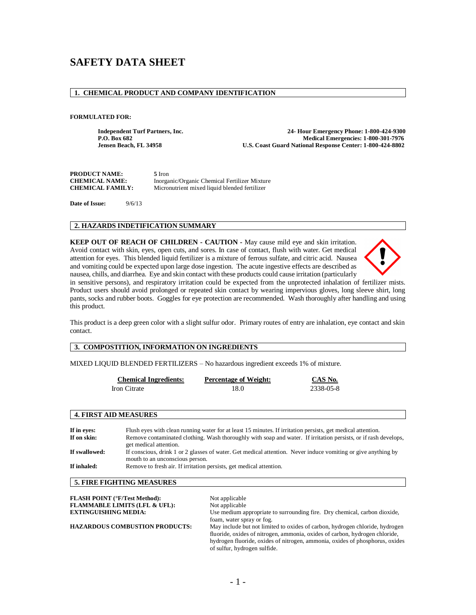# **SAFETY DATA SHEET**

# **1. CHEMICAL PRODUCT AND COMPANY IDENTIFICATION**

#### **FORMULATED FOR:**

**Independent Turf Partners, Inc. 24- Hour Emergency Phone: 1-800-424-9300** P.O. Box 682<br>Jensen Beach, FL 34958 **Medical Emergencies: 1-800-301-7976**<br>U.S. Coast Guard National Response Center: 1-800-424-8802 **U.S. Coast Guard National Response Center: 1-800-424-8802** 

| <b>PRODUCT NAME:</b>    | 5 Iron                                        |
|-------------------------|-----------------------------------------------|
| <b>CHEMICAL NAME:</b>   | Inorganic/Organic Chemical Fertilizer Mixture |
| <b>CHEMICAL FAMILY:</b> | Micronutrient mixed liquid blended fertilizer |

**Date of Issue:** 9/6/13

#### **2. HAZARDS INDETIFICATION SUMMARY**

**KEEP OUT OF REACH OF CHILDREN - CAUTION -** May cause mild eye and skin irritation. Avoid contact with skin, eyes, open cuts, and sores. In case of contact, flush with water. Get medical attention for eyes. This blended liquid fertilizer is a mixture of ferrous sulfate, and citric acid. Nausea and vomiting could be expected upon large dose ingestion. The acute ingestive effects are described as nausea, chills, and diarrhea. Eye and skin contact with these products could cause irritation (particularly



in sensitive persons), and respiratory irritation could be expected from the unprotected inhalation of fertilizer mists. Product users should avoid prolonged or repeated skin contact by wearing impervious gloves, long sleeve shirt, long pants, socks and rubber boots. Goggles for eye protection are recommended. Wash thoroughly after handling and using this product.

This product is a deep green color with a slight sulfur odor. Primary routes of entry are inhalation, eye contact and skin contact.

# **3. COMPOSTITION, INFORMATION ON INGREDIENTS**

MIXED LIQUID BLENDED FERTILIZERS – No hazardous ingredient exceeds 1% of mixture.

| <b>Chemical Ingredients:</b> | <b>Percentage of Weight:</b> | CAS No.   |
|------------------------------|------------------------------|-----------|
| Iron Citrate                 | 18.0                         | 2338-05-8 |

#### **4. FIRST AID MEASURES**

| If in eves:   | Flush eyes with clean running water for at least 15 minutes. If irritation persists, get medical attention.                                      |
|---------------|--------------------------------------------------------------------------------------------------------------------------------------------------|
| If on skin:   | Remove contaminated clothing. Wash thoroughly with soap and water. If irritation persists, or if rash develops,<br>get medical attention.        |
| If swallowed: | If conscious, drink 1 or 2 glasses of water. Get medical attention. Never induce vomiting or give anything by<br>mouth to an unconscious person. |
| If inhaled:   | Remove to fresh air. If irritation persists, get medical attention.                                                                              |

# **5. FIRE FIGHTING MEASURES**

| <b>FLASH POINT (°F/Test Method):</b>     | Not applicable                                                               |
|------------------------------------------|------------------------------------------------------------------------------|
| <b>FLAMMABLE LIMITS (LFL &amp; UFL):</b> | Not applicable                                                               |
| <b>EXTINGUISHING MEDIA:</b>              | Use medium appropriate to surrounding fire. Dry chemical, carbon dioxide,    |
|                                          | foam, water spray or fog.                                                    |
| <b>HAZARDOUS COMBUSTION PRODUCTS:</b>    | May include but not limited to oxides of carbon, hydrogen chloride, hydrogen |
|                                          | fluoride, oxides of nitrogen, ammonia, oxides of carbon, hydrogen chloride,  |
|                                          | hydrogen fluoride, oxides of nitrogen, ammonia, oxides of phosphorus, oxides |
|                                          | of sulfur, hydrogen sulfide.                                                 |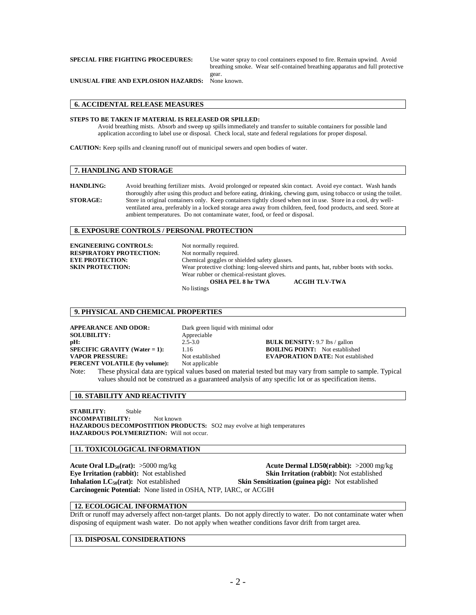**SPECIAL FIRE FIGHTING PROCEDURES:** Use water spray to cool containers exposed to fire. Remain upwind. Avoid breathing smoke. Wear self-contained breathing apparatus and full protective gear.<br>None known.

**UNUSUAL FIRE AND EXPLOSION HAZARDS:** 

#### **6. ACCIDENTAL RELEASE MEASURES**

#### **STEPS TO BE TAKEN IF MATERIAL IS RELEASED OR SPILLED:**

Avoid breathing mists. Absorb and sweep up spills immediately and transfer to suitable containers for possible land application according to label use or disposal. Check local, state and federal regulations for proper disposal.

**CAUTION:** Keep spills and cleaning runoff out of municipal sewers and open bodies of water.

#### **7. HANDLING AND STORAGE**

**HANDLING:** Avoid breathing fertilizer mists. Avoid prolonged or repeated skin contact. Avoid eye contact. Wash hands thoroughly after using this product and before eating, drinking, chewing gum, using tobacco or using the toilet. **STORAGE:** Store in original containers only. Keep containers tightly closed when not in use. Store in a cool, dry wellventilated area, preferably in a locked storage area away from children, feed, food products, and seed. Store at ambient temperatures. Do not contaminate water, food, or feed or disposal.

### **8. EXPOSURE CONTROLS / PERSONAL PROTECTION**

**ENGINEERING CONTROLS:** Not normally required.<br> **RESPIRATORY PROTECTION:** Not normally required. **RESPIRATORY PROTECTION:** 

**EYE PROTECTION:**<br> **Chemical goggles or shielded safety glasses.**<br> **SKIN PROTECTION:** Wear protective clothing: long-sleeved shirts Wear protective clothing: long-sleeved shirts and pants, hat, rubber boots with socks. Wear rubber or chemical-resistant gloves. **OSHA PEL 8 hr TWA ACGIH TLV-TWA** No listings

# **9. PHYSICAL AND CHEMICAL PROPERTIES**

**APPEARANCE AND ODOR:** Dark green liquid with minimal odor **SOLUBILITY:** Appreciable **pH:** 2.5-3.0 **BULK DENSITY:** 9.7 lbs / gallon<br> **SPECIFIC GRAVITY (Water = 1):** 1.16 **BOILING POINT:** Not establish **PERCENT VOLATILE (by volume):** Not applicable

1.16 **BOILING POINT:** Not established **VAPOR PRESSURE:** Not established **EVAPORATION DATE:** Not established

Note: These physical data are typical values based on material tested but may vary from sample to sample. Typical values should not be construed as a guaranteed analysis of any specific lot or as specification items.

#### **10. STABILITY AND REACTIVITY**

**STABILITY:** Stable **INCOMPATIBILITY:** Not known **HAZARDOUS DECOMPOSTITION PRODUCTS:** SO2 may evolve at high temperatures **HAZARDOUS POLYMERIZTION:** Will not occur.

#### **11. TOXICOLOGICAL INFORMATION**

**Acute Oral LD<sub>50</sub>(rat):** >5000 mg/kg **Acute Dermal LD50(rabbit):** >2000 mg/kg **Eye Irritation (rabbit):** Not established **Skin Irritation (rabbit):** Not established **Skin Irritation (rabbit):** Not established **Inhalation LC**<sub>50</sub>(rat): Not established **Skin Sensitization (guinea pig):** Not established **Carcinogenic Potential:** None listed in OSHA, NTP, IARC, or ACGIH

#### **12. ECOLOGICAL INFORMATION**

Drift or runoff may adversely affect non-target plants. Do not apply directly to water. Do not contaminate water when disposing of equipment wash water. Do not apply when weather conditions favor drift from target area.

#### **13. DISPOSAL CONSIDERATIONS**